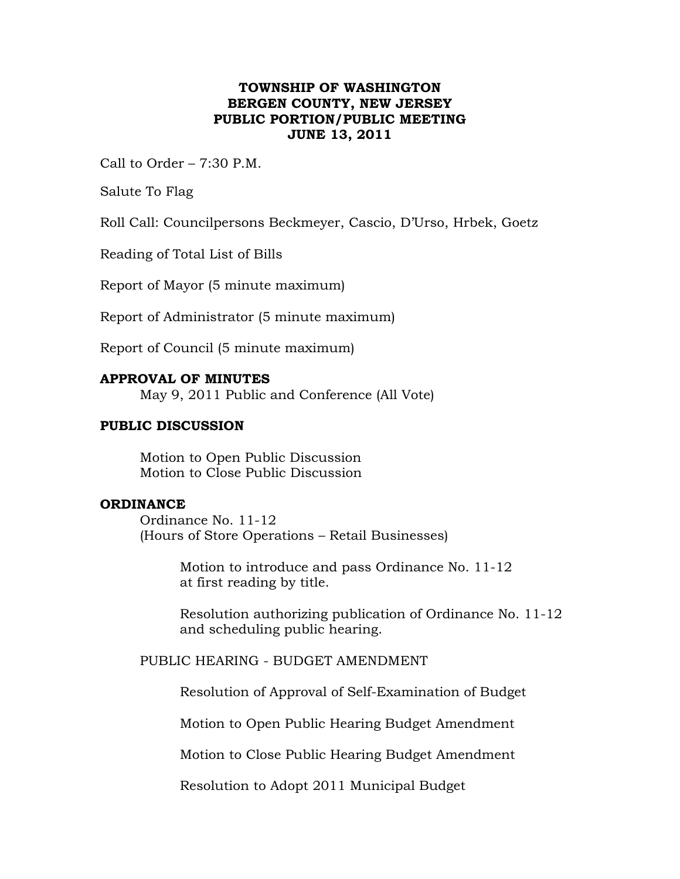# **TOWNSHIP OF WASHINGTON BERGEN COUNTY, NEW JERSEY PUBLIC PORTION/PUBLIC MEETING JUNE 13, 2011**

Call to Order  $-7:30$  P.M.

Salute To Flag

Roll Call: Councilpersons Beckmeyer, Cascio, D'Urso, Hrbek, Goetz

Reading of Total List of Bills

Report of Mayor (5 minute maximum)

Report of Administrator (5 minute maximum)

Report of Council (5 minute maximum)

### **APPROVAL OF MINUTES**

May 9, 2011 Public and Conference (All Vote)

#### **PUBLIC DISCUSSION**

Motion to Open Public Discussion Motion to Close Public Discussion

## **ORDINANCE**

Ordinance No. 11-12 (Hours of Store Operations – Retail Businesses)

> Motion to introduce and pass Ordinance No. 11-12 at first reading by title.

Resolution authorizing publication of Ordinance No. 11-12 and scheduling public hearing.

#### PUBLIC HEARING - BUDGET AMENDMENT

Resolution of Approval of Self-Examination of Budget

Motion to Open Public Hearing Budget Amendment

Motion to Close Public Hearing Budget Amendment

Resolution to Adopt 2011 Municipal Budget